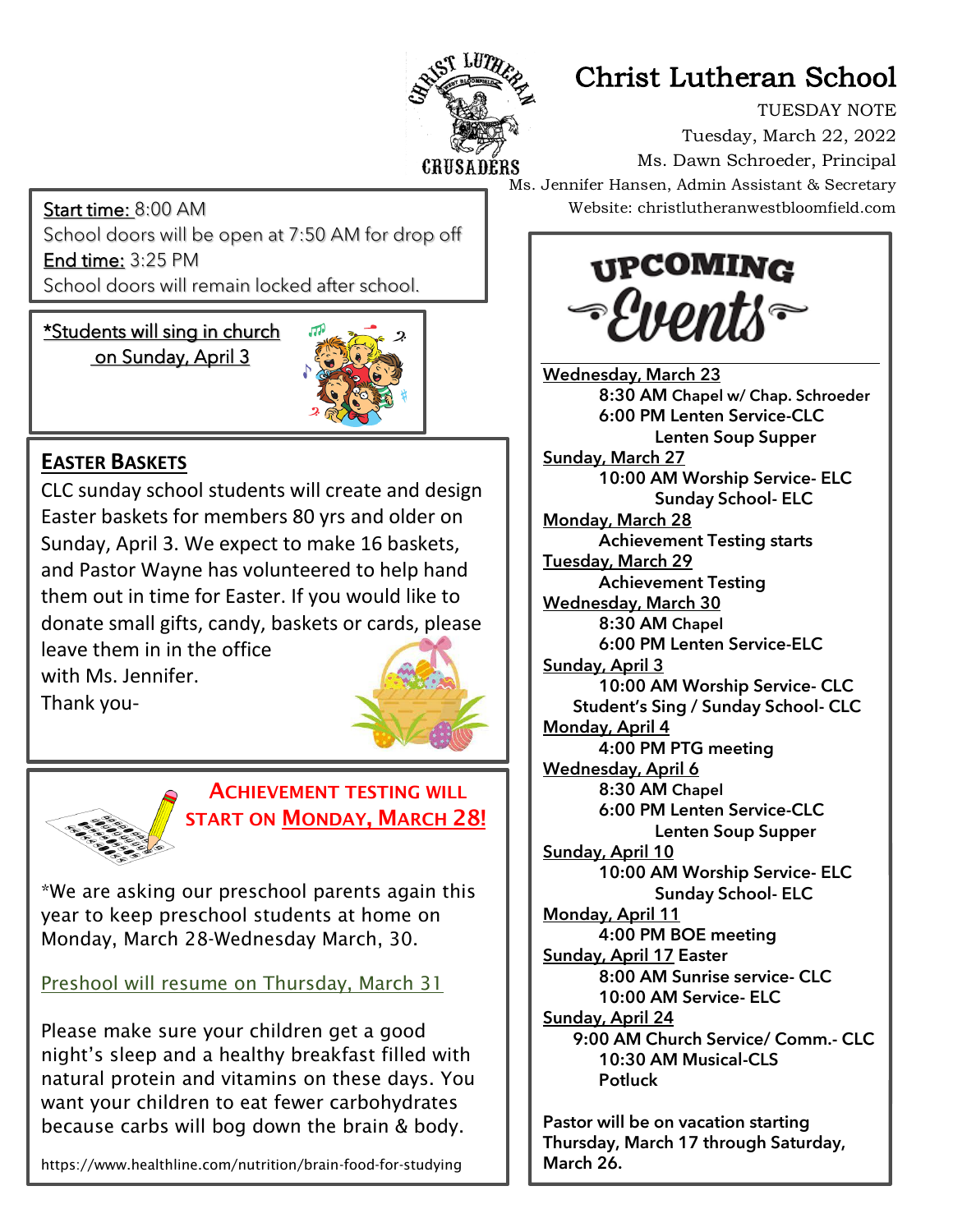

## Christ Lutheran School

TUESDAY NOTE Tuesday, March 22, 2022 Ms. Dawn Schroeder, Principal Ms. Jennifer Hansen, Admin Assistant & Secretary Website: christlutheranwestbloomfield.com

Start time: 8:00 AM School doors will be open at 7:50 AM for drop off End time: 3:25 PM School doors will remain locked after school.

ī \*Students will sing in church on Sunday, April 3



## **EASTER BASKETS**

CLC sunday school students will create and design Easter baskets for members 80 yrs and older on Sunday, April 3. We expect to make 16 baskets, and Pastor Wayne has volunteered to help hand them out in time for Easter. If you would like to donate small gifts, candy, baskets or cards, please leave them in in the office

with Ms. Jennifer. Thank you-





## ACHIEVEMENT TESTING WILL START ON MONDAY, MARCH 28!

\*We are asking our preschool parents again this year to keep preschool students at home on Monday, March 28-Wednesday March, 30.

Preshool will resume on Thursday, March 31

Please make sure your children get a good night's sleep and a healthy breakfast filled with natural protein and vitamins on these days. You want your children to eat fewer carbohydrates because carbs will bog down the brain & body.

https://www.healthline.com/nutrition/brain-food-for-studying

**UPCOMING** *-Events* 

Wednesday, March 23 8:30 AM Chapel w/ Chap. Schroeder 6:00 PM Lenten Service-CLC Lenten Soup Supper Sunday, March 27 10:00 AM Worship Service- ELC Sunday School- ELC Monday, March 28 Achievement Testing starts Tuesday, March 29 Achievement Testing Wednesday, March 30 8:30 AM Chapel 6:00 PM Lenten Service-ELC Sunday, April 3 10:00 AM Worship Service- CLC Student's Sing / Sunday School- CLC Monday, April 4 4:00 PM PTG meeting Wednesday, April 6 8:30 AM Chapel 6:00 PM Lenten Service-CLC Lenten Soup Supper Sunday, April 10 10:00 AM Worship Service- ELC Sunday School- ELC Monday, April 11 4:00 PM BOE meeting Sunday, April 17 Easter 8:00 AM Sunrise service- CLC 10:00 AM Service- ELC Sunday, April 24 9:00 AM Church Service/ Comm.- CLC 10:30 AM Musical-CLS **Potluck** 

Pastor will be on vacation starting Thursday, March 17 through Saturday, March 26.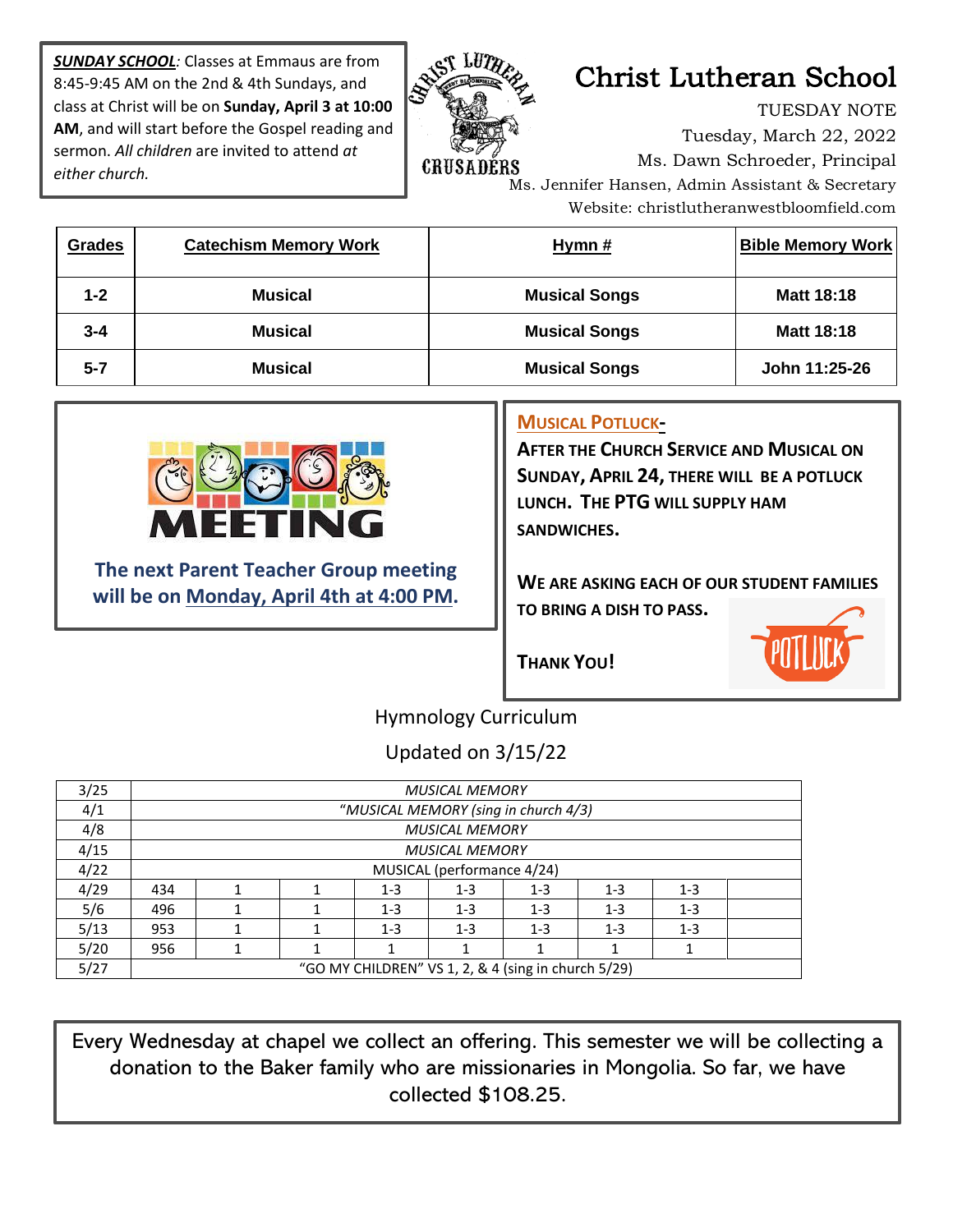*SUNDAY SCHOOL:* Classes at Emmaus are from 8:45-9:45 AM on the 2nd & 4th Sundays, and class at Christ will be on **Sunday, April 3 at 10:00 AM**, and will start before the Gospel reading and sermon. *All children* are invited to attend *at either church.*



## Christ Lutheran School

TUESDAY NOTE Tuesday, March 22, 2022 Ms. Dawn Schroeder, Principal Ms. Jennifer Hansen, Admin Assistant & Secretary Website: christlutheranwestbloomfield.com

| <b>Grades</b> | <b>Catechism Memory Work</b> | Hymn $#$             | <b>Bible Memory Work</b> |
|---------------|------------------------------|----------------------|--------------------------|
| $1 - 2$       | <b>Musical</b>               | <b>Musical Songs</b> | <b>Matt 18:18</b>        |
| $3 - 4$       | <b>Musical</b>               | <b>Musical Songs</b> | <b>Matt 18:18</b>        |
| $5 - 7$       | <b>Musical</b>               | <b>Musical Songs</b> | John 11:25-26            |



**The next Parent Teacher Group meeting will be on Monday, April 4th at 4:00 PM.**

#### **MUSICAL POTLUCK-**

**AFTER THE CHURCH SERVICE AND MUSICAL ON SUNDAY, APRIL 24, THERE WILL BE A POTLUCK LUNCH. THE PTG WILL SUPPLY HAM SANDWICHES.**

**WE ARE ASKING EACH OF OUR STUDENT FAMILIES TO BRING A DISH TO PASS.**

**THANK YOU!**



#### Hymnology Curriculum

Updated on 3/15/22

| 3/25 | <b>MUSICAL MEMORY</b>                               |  |  |         |         |         |         |         |  |  |  |
|------|-----------------------------------------------------|--|--|---------|---------|---------|---------|---------|--|--|--|
| 4/1  | "MUSICAL MEMORY (sing in church 4/3)                |  |  |         |         |         |         |         |  |  |  |
| 4/8  | <b>MUSICAL MEMORY</b>                               |  |  |         |         |         |         |         |  |  |  |
| 4/15 | <b>MUSICAL MEMORY</b>                               |  |  |         |         |         |         |         |  |  |  |
| 4/22 | MUSICAL (performance 4/24)                          |  |  |         |         |         |         |         |  |  |  |
| 4/29 | 434                                                 |  |  | $1 - 3$ | $1 - 3$ | $1 - 3$ | $1 - 3$ | $1 - 3$ |  |  |  |
| 5/6  | 496                                                 |  |  | $1 - 3$ | $1 - 3$ | $1 - 3$ | $1 - 3$ | $1 - 3$ |  |  |  |
| 5/13 | 953                                                 |  |  | $1 - 3$ | $1 - 3$ | $1 - 3$ | $1 - 3$ | $1 - 3$ |  |  |  |
| 5/20 | 956                                                 |  |  |         |         |         |         |         |  |  |  |
| 5/27 | "GO MY CHILDREN" VS 1, 2, & 4 (sing in church 5/29) |  |  |         |         |         |         |         |  |  |  |

Every Wednesday at chapel we collect an offering. This semester we will be collecting a donation to the Baker family who are missionaries in Mongolia. So far, we have collected \$108.25.